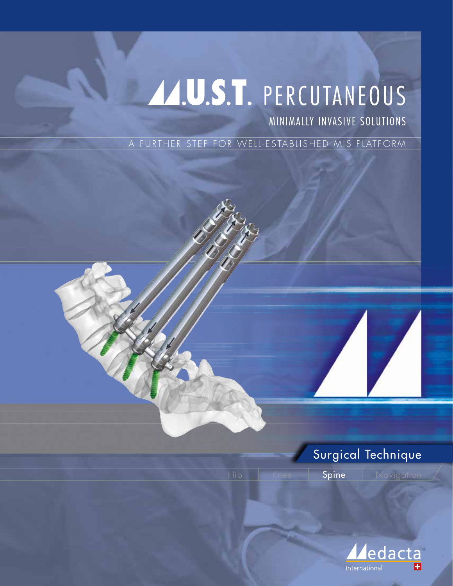# AAUST. PERCUTANEOUS

MINIMALLY INVASIVE SOLUTIONS

A FURTHER STEP FOR WELL-ESTABLISHED MIS PLATFORM



Spine | Navigation

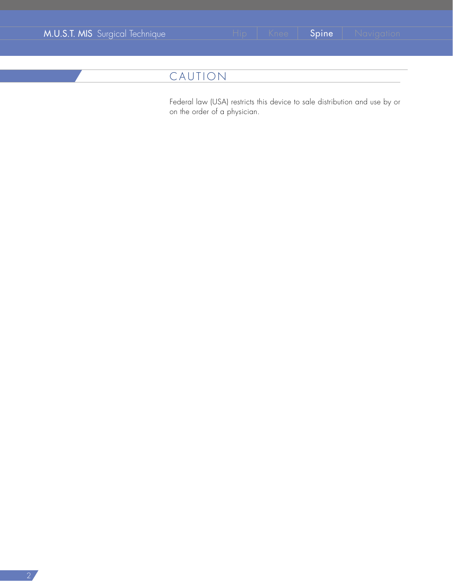|  | M.U.S.T. MIS Surgical Technique |  |
|--|---------------------------------|--|
|  |                                 |  |
|  |                                 |  |

# CAUTION

Federal law (USA) restricts this device to sale distribution and use by or on the order of a physician.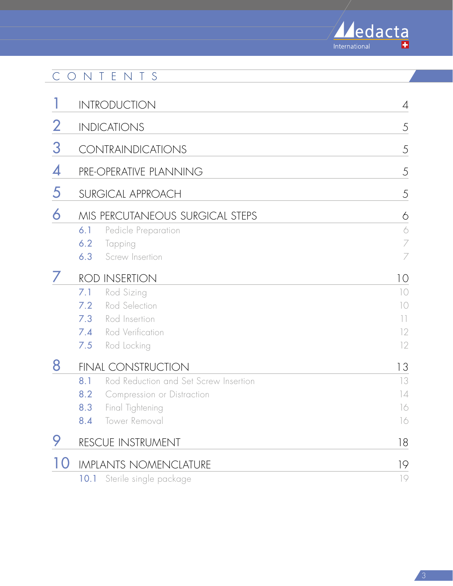

# CONTENTS

|                          | <b>INTRODUCTION</b>                          |                       |
|--------------------------|----------------------------------------------|-----------------------|
| $\overline{2}$           | <b>INDICATIONS</b>                           | 5                     |
| 3                        | <b>CONTRAINDICATIONS</b>                     | 5                     |
| 4                        | PRE-OPERATIVE PLANNING                       | 5                     |
| 5                        | SURGICAL APPROACH                            | 5                     |
| 6                        | MIS PERCUTANEOUS SURGICAL STEPS              | 6                     |
|                          | 6.1<br>Pedicle Preparation                   | $\Diamond$            |
|                          | 6.2<br>Tapping                               | $\overline{ }$        |
|                          | 6.3<br>Screw Insertion                       | 7                     |
|                          | <b>ROD INSERTION</b>                         | 10                    |
|                          | Rod Sizing<br>7.1                            | 10                    |
|                          | Rod Selection<br>7.2                         | $\overline{\bigcirc}$ |
|                          | Rod Insertion<br>7.3                         | $\lceil \rceil$       |
|                          | Rod Verification<br>7.4                      | 12                    |
|                          | Rod Locking<br>7.5                           | 12                    |
| 8                        | <b>FINAL CONSTRUCTION</b>                    | 13                    |
|                          | Rod Reduction and Set Screw Insertion<br>8.1 | 13                    |
|                          | 8.2<br>Compression or Distraction            | 14                    |
|                          | Final Tightening<br>8.3                      | 16                    |
|                          | Tower Removal<br>8.4                         | 16                    |
|                          | RESCUE INSTRUMENT                            | 18                    |
| $\mathsf{I}(\mathsf{I})$ | <b>IMPLANTS NOMENCLATURE</b>                 | 19                    |
|                          | Sterile single package<br>10.1               | 19                    |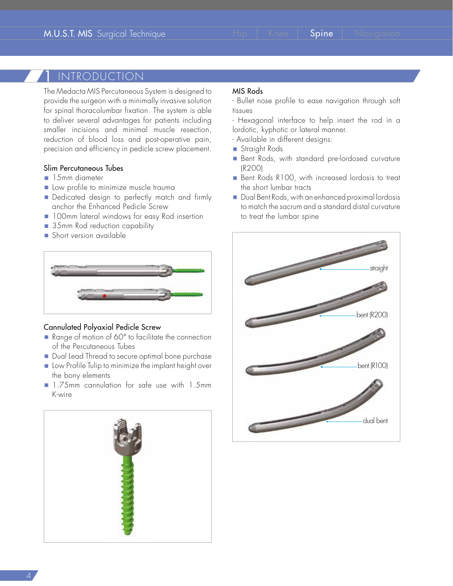## **INTRODUCTION**

The Medacta MIS Percutaneous System is designed to provide the surgeon with a minimally invasive solution for spinal thoracolumbar fixation. The system is able to deliver several advantages for patients including smaller incisions and minimal muscle resection, reduction of blood loss and post-operative pain, precision and efficiency in pedicle screw placement.

#### Slim Percutaneous Tubes

- **15mm** diameter
- Low profile to minimize muscle trauma
- Dedicated design to perfectly match and firmly anchor the Enhanced Pedicle Screw
- **100mm lateral windows for easy Rod insertion**
- 35mm Rod reduction capability
- Short version available



#### Cannulated Polyaxial Pedicle Screw

- Range of motion of 60° to facilitate the connection of the Percutaneous Tubes
- Dual Lead Thread to secure optimal bone purchase
- **E** Low Profile Tulip to minimize the implant height over the bony elements
- 1.75mm cannulation for safe use with 1.5mm K-wire



#### MIS Rods

- Bullet nose profile to ease navigation through soft tissues

- Hexagonal interface to help insert the rod in a lordotic, kyphotic or lateral manner.

- Available in different designs:
- Straight Rods
- Bent Rods, with standard pre-lordosed curvature (R200)
- Bent Rods R100, with increased lordosis to treat the short lumbar tracts
- Dual Bent Rods, with an enhanced proximal lordosis to match the sacrum and a standard distal curvature to treat the lumbar spine

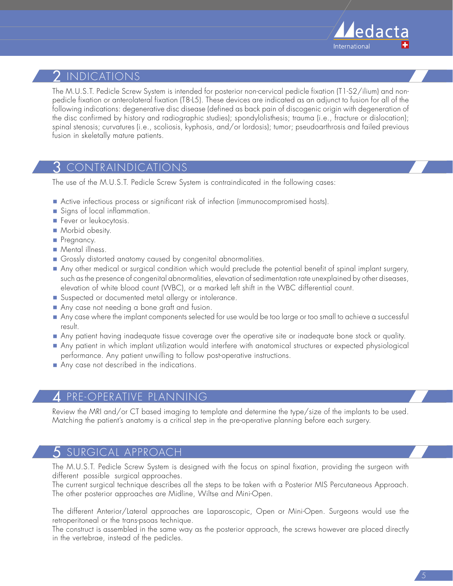

# $\,2\,$  indications

The M.U.S.T. Pedicle Screw System is intended for posterior non-cervical pedicle fixation (T1-S2/ilium) and nonpedicle fixation or anterolateral fixation (T8-L5). These devices are indicated as an adjunct to fusion for all of the following indications: degenerative disc disease (defined as back pain of discogenic origin with degeneration of the disc confirmed by history and radiographic studies); spondylolisthesis; trauma (i.e., fracture or dislocation); spinal stenosis; curvatures (i.e., scoliosis, kyphosis, and/or lordosis); tumor; pseudoarthrosis and failed previous fusion in skeletally mature patients.

# 3 CONTRAINDICATIONS

The use of the M.U.S.T. Pedicle Screw System is contraindicated in the following cases:

- Active infectious process or significant risk of infection (immunocompromised hosts).
- Signs of local inflammation.
- Fever or leukocytosis.
- **Morbid obesity.**
- Pregnancy.
- **Mental illness.**
- Grossly distorted anatomy caused by congenital abnormalities.
- Any other medical or surgical condition which would preclude the potential benefit of spinal implant surgery, such as the presence of congenital abnormalities, elevation of sedimentation rate unexplained by other diseases, elevation of white blood count (WBC), or a marked left shift in the WBC differential count.
- Suspected or documented metal allergy or intolerance.
- Any case not needing a bone graft and fusion.
- Any case where the implant components selected for use would be too large or too small to achieve a successful result.
- Any patient having inadequate tissue coverage over the operative site or inadequate bone stock or quality.
- Any patient in which implant utilization would interfere with anatomical structures or expected physiological performance. Any patient unwilling to follow post-operative instructions.
- Any case not described in the indications.

#### 4 PRE-OPERATIVE PLANNING

Review the MRI and/or CT based imaging to template and determine the type/size of the implants to be used. Matching the patient's anatomy is a critical step in the pre-operative planning before each surgery.

# 5 SURGICAL APPROACH

The M.U.S.T. Pedicle Screw System is designed with the focus on spinal fixation, providing the surgeon with different possible surgical approaches.

The current surgical technique describes all the steps to be taken with a Posterior MIS Percutaneous Approach. The other posterior approaches are Midline, Wiltse and Mini-Open.

The different Anterior/Lateral approaches are Laparoscopic, Open or Mini-Open. Surgeons would use the retroperitoneal or the trans-psoas technique.

The construct is assembled in the same way as the posterior approach, the screws however are placed directly in the vertebrae, instead of the pedicles.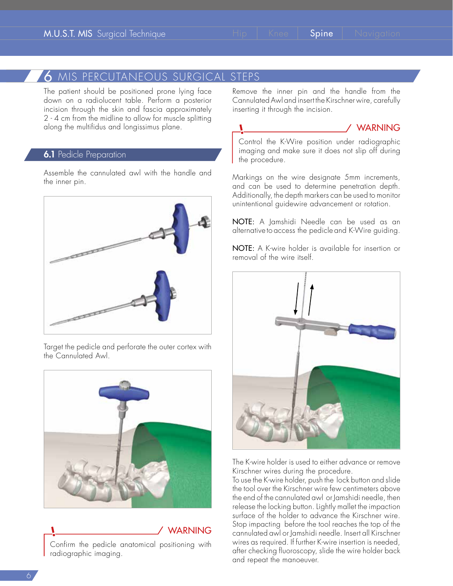# 6 MIS PERCUTANEOUS SURGICAL STEPS

The patient should be positioned prone lying face down on a radiolucent table. Perform a posterior incision through the skin and fascia approximately 2 - 4 cm from the midline to allow for muscle splitting along the multifidus and longissimus plane.

#### **6.1** Pedicle Preparation

Assemble the cannulated awl with the handle and the inner pin.



Target the pedicle and perforate the outer cortex with the Cannulated Awl.



WARNING Confirm the pedicle anatomical positioning with radiographic imaging.

Remove the inner pin and the handle from the Cannulated Awl and insert the Kirschner wire, carefully inserting it through the incision.

#### WARNING

Control the K-Wire position under radiographic imaging and make sure it does not slip off during the procedure.

Markings on the wire designate 5mm increments, and can be used to determine penetration depth. Additionally, the depth markers can be used to monitor unintentional guidewire advancement or rotation.

NOTE: A Jamshidi Needle can be used as an alternative to access the pedicle and K-Wire guiding.

NOTE: A K-wire holder is available for insertion or removal of the wire itself.



The K-wire holder is used to either advance or remove Kirschner wires during the procedure.

To use the K-wire holder, push the lock button and slide the tool over the Kirschner wire few centimeters above the end of the cannulated awl or Jamshidi needle, then release the locking button. Lightly mallet the impaction surface of the holder to advance the Kirschner wire. Stop impacting before the tool reaches the top of the cannulated awl or Jamshidi needle. Insert all Kirschner wires as required. If further K-wire insertion is needed, after checking fluoroscopy, slide the wire holder back and repeat the manoeuver.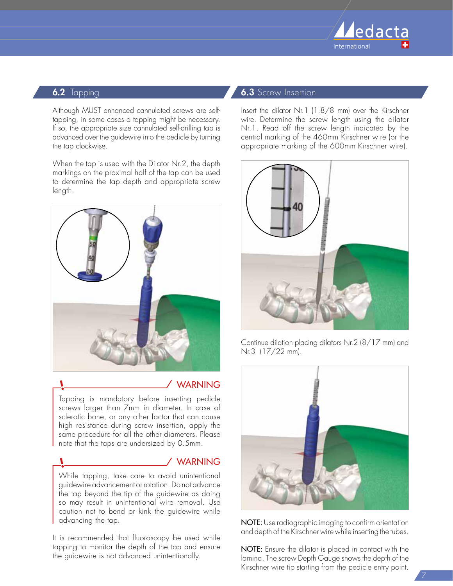

#### **6.2** Tapping

Although MUST enhanced cannulated screws are selftapping, in some cases a tapping might be necessary. If so, the appropriate size cannulated self-drilling tap is advanced over the guidewire into the pedicle by turning the tap clockwise.

When the tap is used with the Dilator Nr.2, the depth markings on the proximal half of the tap can be used to determine the tap depth and appropriate screw length.



#### **WARNING**

Tapping is mandatory before inserting pedicle screws larger than 7mm in diameter. In case of sclerotic bone, or any other factor that can cause high resistance during screw insertion, apply the same procedure for all the other diameters. Please note that the taps are undersized by 0.5mm.

#### WARNING

While tapping, take care to avoid unintentional guidewire advancement or rotation. Do not advance the tap beyond the tip of the guidewire as doing so may result in unintentional wire removal. Use caution not to bend or kink the guidewire while advancing the tap.

It is recommended that fluoroscopy be used while tapping to monitor the depth of the tap and ensure the guidewire is not advanced unintentionally.

#### **6.3** Screw Insertion

Insert the dilator Nr.1 (1.8/8 mm) over the Kirschner wire. Determine the screw length using the dilator Nr.1. Read off the screw length indicated by the central marking of the 460mm Kirschner wire (or the appropriate marking of the 600mm Kirschner wire).



Continue dilation placing dilators Nr.2 (8/17 mm) and Nr.3 (17/22 mm).



NOTE: Use radiographic imaging to confirm orientation and depth of the Kirschner wire while inserting the tubes.

NOTE: Ensure the dilator is placed in contact with the lamina. The screw Depth Gauge shows the depth of the Kirschner wire tip starting from the pedicle entry point.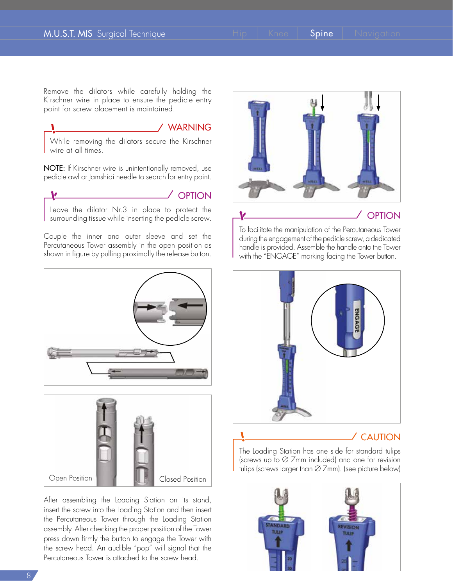Remove the dilators while carefully holding the Kirschner wire in place to ensure the pedicle entry point for screw placement is maintained.

#### **WARNING**

While removing the dilators secure the Kirschner wire at all times.

NOTE: If Kirschner wire is unintentionally removed, use pedicle awl or Jamshidi needle to search for entry point.



OPTION

Leave the dilator Nr.3 in place to protect the surrounding tissue while inserting the pedicle screw.

Couple the inner and outer sleeve and set the Percutaneous Tower assembly in the open position as shown in figure by pulling proximally the release button.





After assembling the Loading Station on its stand, insert the screw into the Loading Station and then insert the Percutaneous Tower through the Loading Station assembly. After checking the proper position of the Tower press down firmly the button to engage the Tower with the screw head. An audible "pop" will signal that the Percutaneous Tower is attached to the screw head.





#### **OPTION**

To facilitate the manipulation of the Percutaneous Tower during the engagement of the pedicle screw, a dedicated handle is provided. Assemble the handle onto the Tower with the "ENGAGE" marking facing the Tower button.



### CAUTION

The Loading Station has one side for standard tulips (screws up to Ø 7mm included) and one for revision tulips (screws larger than Ø 7mm). (see picture below)

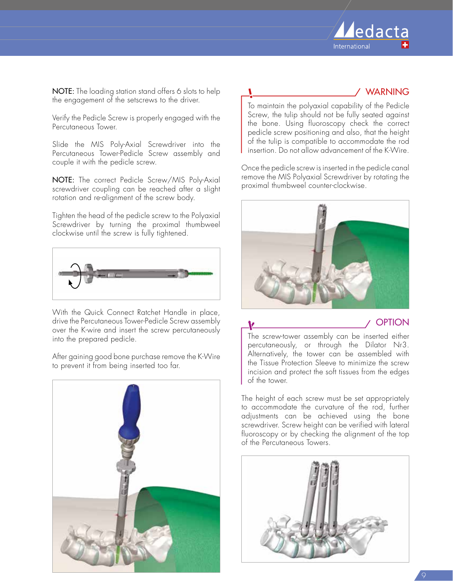

NOTE: The loading station stand offers 6 slots to help the engagement of the setscrews to the driver.

Verify the Pedicle Screw is properly engaged with the Percutaneous Tower.

Slide the MIS Poly-Axial Screwdriver into the Percutaneous Tower-Pedicle Screw assembly and couple it with the pedicle screw.

NOTE: The correct Pedicle Screw/MIS Poly-Axial screwdriver coupling can be reached after a slight rotation and re-alignment of the screw body.

Tighten the head of the pedicle screw to the Polyaxial Screwdriver by turning the proximal thumbweel clockwise until the screw is fully tightened.



With the Quick Connect Ratchet Handle in place, drive the Percutaneous Tower-Pedicle Screw assembly over the K-wire and insert the screw percutaneously into the prepared pedicle.

After gaining good bone purchase remove the K-Wire to prevent it from being inserted too far.



#### **WARNING**

To maintain the polyaxial capability of the Pedicle Screw, the tulip should not be fully seated against the bone. Using fluoroscopy check the correct pedicle screw positioning and also, that the height of the tulip is compatible to accommodate the rod insertion. Do not allow advancement of the K-Wire.

Once the pedicle screw is inserted in the pedicle canal remove the MIS Polyaxial Screwdriver by rotating the proximal thumbweel counter-clockwise.



<u>V</u>

**OPTION** 

The screw-tower assembly can be inserted either percutaneously, or through the Dilator Nr3. Alternatively, the tower can be assembled with the Tissue Protection Sleeve to minimize the screw incision and protect the soft tissues from the edges of the tower.

The height of each screw must be set appropriately to accommodate the curvature of the rod, further adjustments can be achieved using the bone screwdriver. Screw height can be verified with lateral fluoroscopy or by checking the alignment of the top of the Percutaneous Towers.

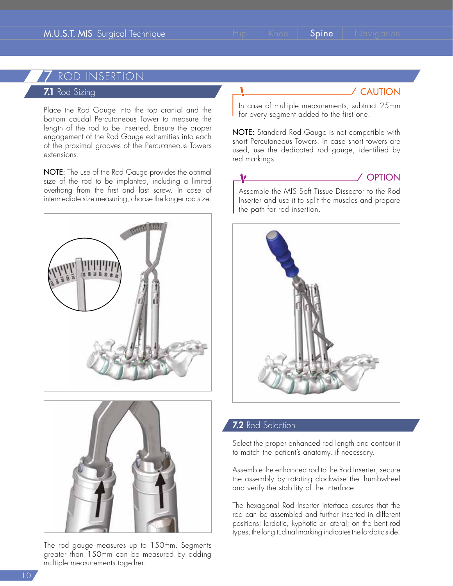# ROD INSERTION

#### 7.1 Rod Sizing

Place the Rod Gauge into the top cranial and the bottom caudal Percutaneous Tower to measure the length of the rod to be inserted. Ensure the proper engagement of the Rod Gauge extremities into each of the proximal grooves of the Percutaneous Towers extensions.

NOTE: The use of the Rod Gauge provides the optimal size of the rod to be implanted, including a limited overhang from the first and last screw. In case of intermediate size measuring, choose the longer rod size.





The rod gauge measures up to 150mm. Segments greater than 150mm can be measured by adding multiple measurements together.

# CAUTION

In case of multiple measurements, subtract 25mm for every segment added to the first one.

NOTE: Standard Rod Gauge is not compatible with short Percutaneous Towers. In case short towers are used, use the dedicated rod gauge, identified by red markings.

#### <u>V</u>



Assemble the MIS Soft Tissue Dissector to the Rod Inserter and use it to split the muscles and prepare the path for rod insertion.



#### 7.2 Rod Selection

Select the proper enhanced rod length and contour it to match the patient's anatomy, if necessary.

Assemble the enhanced rod to the Rod Inserter; secure the assembly by rotating clockwise the thumbwheel and verify the stability of the interface.

The hexagonal Rod Inserter interface assures that the rod can be assembled and further inserted in different positions: lordotic, kyphotic or lateral; on the bent rod types, the longitudinal marking indicates the lordotic side.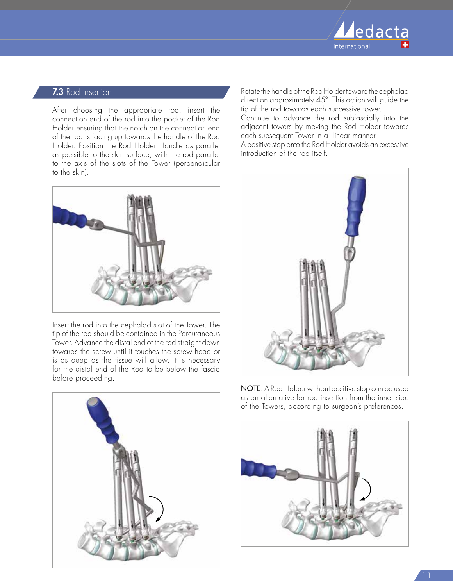

#### 7.3 Rod Insertion

After choosing the appropriate rod, insert the connection end of the rod into the pocket of the Rod Holder ensuring that the notch on the connection end of the rod is facing up towards the handle of the Rod Holder. Position the Rod Holder Handle as parallel as possible to the skin surface, with the rod parallel to the axis of the slots of the Tower (perpendicular to the skin).



Insert the rod into the cephalad slot of the Tower. The tip of the rod should be contained in the Percutaneous Tower. Advance the distal end of the rod straight down towards the screw until it touches the screw head or is as deep as the tissue will allow. It is necessary for the distal end of the Rod to be below the fascia before proceeding.



Rotate the handle of the Rod Holder toward the cephalad direction approximately 45º. This action will guide the tip of the rod towards each successive tower.

Continue to advance the rod subfascially into the adjacent towers by moving the Rod Holder towards each subsequent Tower in a linear manner.

A positive stop onto the Rod Holder avoids an excessive introduction of the rod itself.



NOTE: A Rod Holder without positive stop can be used as an alternative for rod insertion from the inner side of the Towers, according to surgeon's preferences.

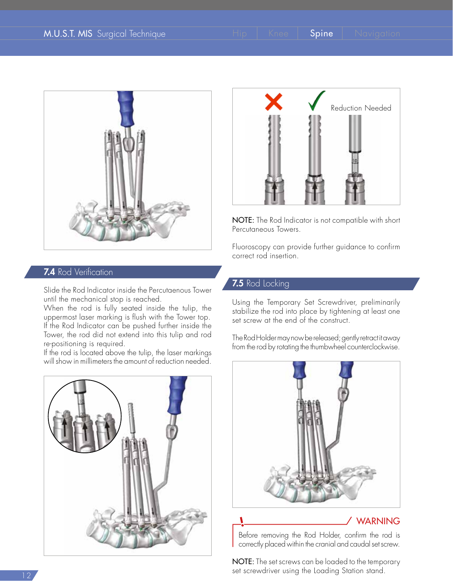

#### 7.4 Rod Verification

Slide the Rod Indicator inside the Percutaenous Tower until the mechanical stop is reached.

When the rod is fully seated inside the tulip, the uppermost laser marking is flush with the Tower top. If the Rod Indicator can be pushed further inside the Tower, the rod did not extend into this tulip and rod re-positioning is required.

If the rod is located above the tulip, the laser markings will show in millimeters the amount of reduction needed.





NOTE: The Rod Indicator is not compatible with short Percutaneous Towers.

Fluoroscopy can provide further guidance to confirm correct rod insertion.

#### 7.5 Rod Locking

Using the Temporary Set Screwdriver, preliminarily stabilize the rod into place by tightening at least one set screw at the end of the construct.

The Rod Holder may now be released; gently retract it away from the rod by rotating the thumbwheel counterclockwise.



Before removing the Rod Holder, confirm the rod is correctly placed within the cranial and caudal set screw.

NOTE: The set screws can be loaded to the temporary set screwdriver using the Loading Station stand.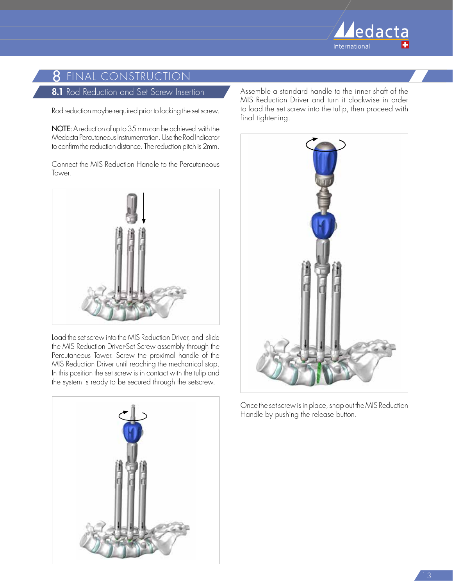

# **8** final construction

#### 8.1 Rod Reduction and Set Screw Insertion

Rod reduction maybe required prior to locking the set screw.

NOTE: A reduction of up to 35 mm can be achieved with the Medacta Percutaneous Instrumentation. Use the Rod Indicator to confirm the reduction distance. The reduction pitch is 2mm.

Connect the MIS Reduction Handle to the Percutaneous Tower.



Load the set screw into the MIS Reduction Driver, and slide the MIS Reduction Driver-Set Screw assembly through the Percutaneous Tower. Screw the proximal handle of the MIS Reduction Driver until reaching the mechanical stop. In this position the set screw is in contact with the tulip and the system is ready to be secured through the setscrew.



Assemble a standard handle to the inner shaft of the MIS Reduction Driver and turn it clockwise in order to load the set screw into the tulip, then proceed with final tightening.



Once the set screw is in place, snap out the MIS Reduction Handle by pushing the release button.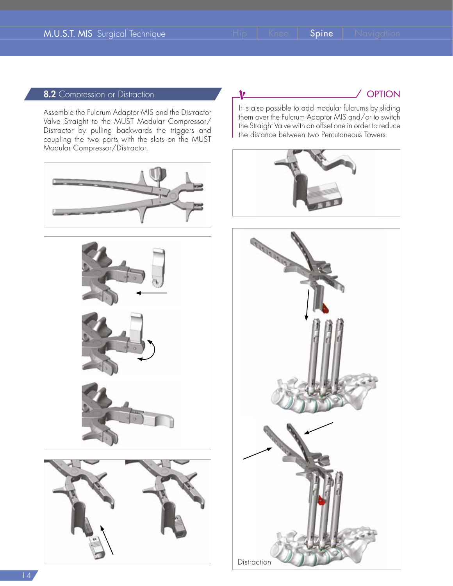<u>V</u>

#### 8.2 Compression or Distraction

Assemble the Fulcrum Adaptor MIS and the Distractor Valve Straight to the MUST Modular Compressor/ Distractor by pulling backwards the triggers and coupling the two parts with the slots on the MUST Modular Compressor/Distractor.







/ OPTION

It is also possible to add modular fulcrums by sliding them over the Fulcrum Adaptor MIS and/or to switch the Straight Valve with an offset one in order to reduce the distance between two Percutaneous Towers.



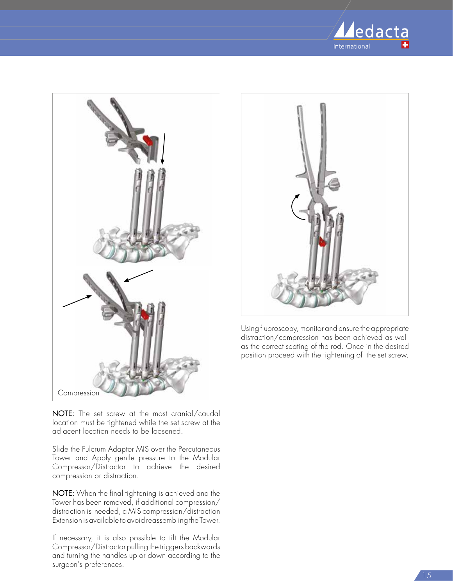



NOTE: The set screw at the most cranial/caudal location must be tightened while the set screw at the adjacent location needs to be loosened.

Slide the Fulcrum Adaptor MIS over the Percutaneous Tower and Apply gentle pressure to the Modular Compressor/Distractor to achieve the desired compression or distraction.

NOTE: When the final tightening is achieved and the Tower has been removed, if additional compression/ distraction is needed, a MIS compression/distraction Extension is available to avoid reassembling the Tower.

If necessary, it is also possible to tilt the Modular Compressor/Distractor pulling the triggers backwards and turning the handles up or down according to the surgeon's preferences.



Using fluoroscopy, monitor and ensure the appropriate distraction/compression has been achieved as well as the correct seating of the rod. Once in the desired position proceed with the tightening of the set screw.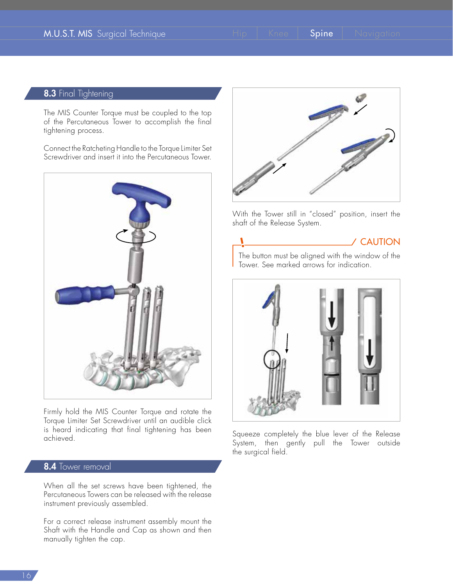١

#### 8.3 Final Tightening

The MIS Counter Torque must be coupled to the top of the Percutaneous Tower to accomplish the final tightening process.

Connect the Ratcheting Handle to the Torque Limiter Set Screwdriver and insert it into the Percutaneous Tower.



Firmly hold the MIS Counter Torque and rotate the Torque Limiter Set Screwdriver until an audible click is heard indicating that final tightening has been achieved.

#### 8.4 Tower removal

When all the set screws have been tightened, the Percutaneous Towers can be released with the release instrument previously assembled.

For a correct release instrument assembly mount the Shaft with the Handle and Cap as shown and then manually tighten the cap.



With the Tower still in "closed" position, insert the shaft of the Release System.

# CAUTION

The button must be aligned with the window of the Tower. See marked arrows for indication.



Squeeze completely the blue lever of the Release System, then gently pull the Tower outside the surgical field.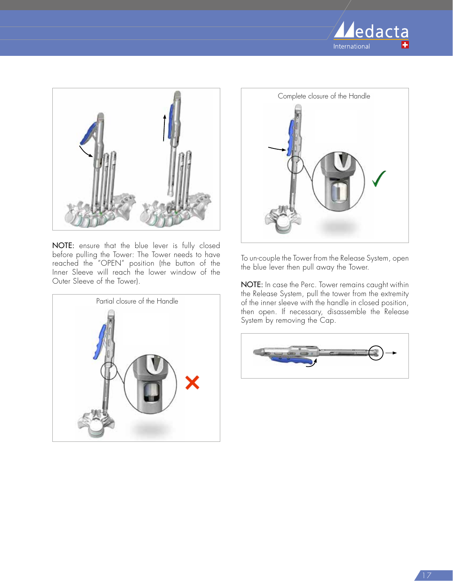



NOTE: ensure that the blue lever is fully closed before pulling the Tower: The Tower needs to have reached the "OPEN" position (the button of the Inner Sleeve will reach the lower window of the Outer Sleeve of the Tower).





To un-couple the Tower from the Release System, open the blue lever then pull away the Tower.

NOTE: In case the Perc. Tower remains caught within the Release System, pull the tower from the extremity of the inner sleeve with the handle in closed position, then open. If necessary, disassemble the Release System by removing the Cap.

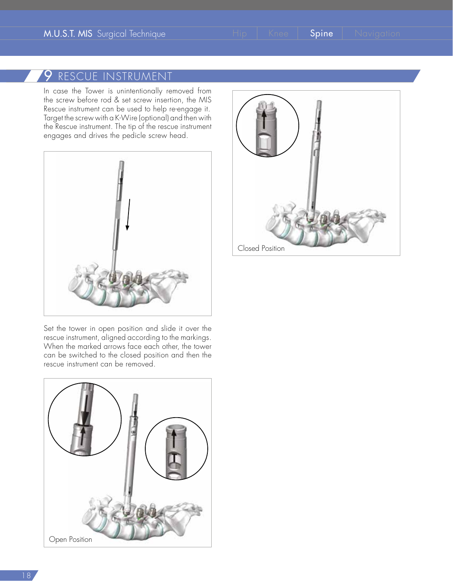# 9 RESCUE INSTRUMENT

In case the Tower is unintentionally removed from the screw before rod & set screw insertion, the MIS Rescue instrument can be used to help re-engage it. Target the screw with a K-Wire (optional) and then with the Rescue instrument. The tip of the rescue instrument engages and drives the pedicle screw head.



Set the tower in open position and slide it over the rescue instrument, aligned according to the markings. When the marked arrows face each other, the tower can be switched to the closed position and then the rescue instrument can be removed.



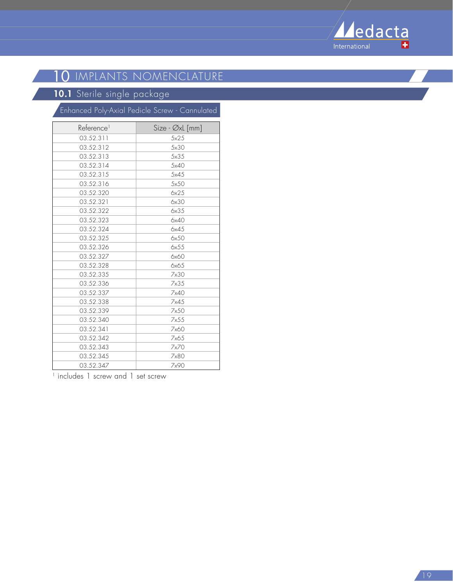

# **10** IMPLANTS NOMENCLATURE

#### **10.1** Sterile single package

|                        | Enhanced Poly-Axial Pedicle Screw - Cannulated |
|------------------------|------------------------------------------------|
| Reference <sup>1</sup> | Size - Øxl [mm]                                |
| 03.52.311              | 5x25                                           |
| 03.52.312              | 5×30                                           |
| 03.52.313              | 5x35                                           |
| 03.52.314              | 5x40                                           |
| 03.52.315              | 5x45                                           |
| 03.52.316              | 5x50                                           |
| 03.52.320              | 6x25                                           |
| 03.52.321              | 6x30                                           |
| 03.52.322              | 6x35                                           |
| 03.52.323              | 6x40                                           |
| 03.52.324              | 6x45                                           |
| 03.52.325              | 6x50                                           |
| 03.52.326              | 6x55                                           |
| 03.52.327              | 6x60                                           |
| 03.52.328              | 6x65                                           |
| 03.52.335              | 7x30                                           |
| 03.52.336              | 7x35                                           |
| 03.52.337              | 7x40                                           |
| 03.52.338              | 7x45                                           |
| 03.52.339              | 7x50                                           |
| 03.52.340              | 7x55                                           |
| 03.52.341              | 7x60                                           |
| 03.52.342              | 7x65                                           |
| 03.52.343              | 7x70                                           |
| 03.52.345              | 7x80                                           |
| 03.52.347              | 7x90                                           |

<sup>1</sup> includes 1 screw and 1 set screw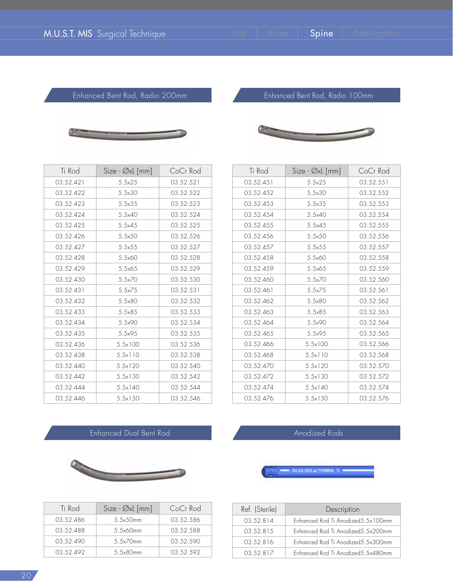Enhanced Bent Rod, Radio 200mm



Enhanced Bent Rod, Radio 100mm

| Ti Rod    | Size - Øxl [mm]  | CoCr Rod  |
|-----------|------------------|-----------|
| 03.52.421 | 5.5x25           | 03.52.521 |
| 03.52.422 | 5.5×30           | 03.52.522 |
| 03.52.423 | $5.5 \times 35$  | 03.52.523 |
| 03.52.424 | 5.5x40           | 03.52.524 |
| 03.52.425 | 5.5x45           | 03.52.525 |
| 03.52.426 | 5.5×50           | 03.52.526 |
| 03.52.427 | 5.5x55           | 03.52.527 |
| 03.52.428 | 5.5x60           | 03.52.528 |
| 03.52.429 | 5.5x65           | 03.52.529 |
| 03.52.430 | 5.5×70           | 03.52.530 |
| 03.52.431 | 5.5x75           | 03.52.531 |
| 03.52.432 | 5.5×80           | 03.52.532 |
| 03.52.433 | 5.5x85           | 03.52.533 |
| 03.52.434 | 5.5x90           | 03.52.534 |
| 03.52.435 | 5.5x95           | 03.52.535 |
| 03.52.436 | 5.5×100          | 03.52.536 |
| 03.52.438 | 5.5x110          | 03.52.538 |
| 03.52.440 | $5.5 \times 120$ | 03.52.540 |
| 03.52.442 | $5.5 \times 130$ | 03.52.542 |
| 03.52.444 | $5.5 \times 140$ | 03.52.544 |
| 03.52.446 | $5.5 \times 150$ | 03.52.546 |

| Ti Rod    | Size - Øxl [mm]  | CoCr Rod  |
|-----------|------------------|-----------|
| 03.52.451 | 5.5x25           | 03.52.551 |
| 03.52.452 | 5.5x30           | 03.52.552 |
| 03.52.453 | $5.5 \times 35$  | 03.52.553 |
| 03.52.454 | 5.5x40           | 03.52.554 |
| 03.52.455 | 5.5x45           | 03.52.555 |
| 03.52.456 | 5.5x50           | 03.52.556 |
| 03.52.457 | 5.5x55           | 03.52.557 |
| 03.52.458 | 5.5x60           | 03.52.558 |
| 03.52.459 | 5.5x65           | 03.52.559 |
| 03.52.460 | 5.5×70           | 03.52.560 |
| 03.52.461 | 5.5x75           | 03.52.561 |
| 03.52.462 | 5.5×80           | 03.52.562 |
| 03.52.463 | $5.5 \times 8.5$ | 03.52.563 |
| 03.52.464 | 5.5×90           | 03.52.564 |
| 03.52.465 | 5.5x95           | 03.52.565 |
| 03.52.466 | 5.5×100          | 03.52.566 |
| 03.52.468 | 5.5x110          | 03.52.568 |
| 03.52.470 | 5.5x120          | 03.52.570 |
| 03.52.472 | $5.5 \times 130$ | 03.52.572 |
| 03.52.474 | $5.5 \times 140$ | 03.52.574 |
| 03.52.476 | $5.5 \times 150$ | 03.52.576 |

#### Enhanced Dual Bent Rod



| Ti Rod    | $Size - \emptyset xL$ [mm] | CoCr Rod  |
|-----------|----------------------------|-----------|
| 03.52.486 | 5.5x50mm                   | 03.52.586 |
| 03.52.488 | 5.5x60mm                   | 03.52.588 |
| 03.52.490 | 5.5x70mm                   | 03.52.590 |
| 03.52.492 | 5.5×80mm                   | 03.52.592 |



 $=$  XXXXXXX a YYNNNN Ti

| Ref. (Sterile) | Description                        |
|----------------|------------------------------------|
| 03.52.814      | Enhanced Rod Ti Anodized 5.5x100mm |
| 03.52.815      | Enhanced Rod Ti Anodized 5.5x200mm |
| 03.52.816      | Enhanced Rod Ti Anodized 5.5x300mm |
| 03.52.817      | Enhanced Rod Ti Anodized 5.5x480mm |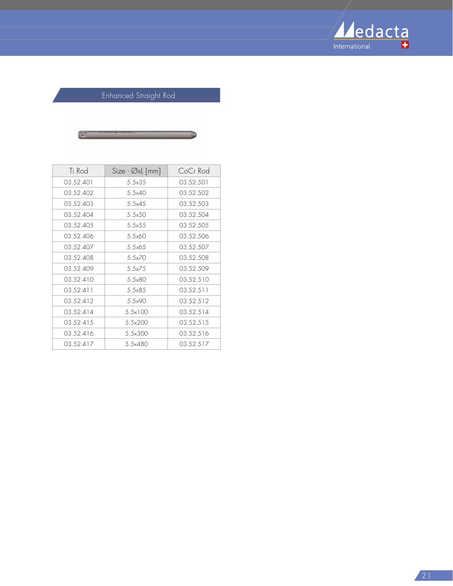

# Enhanced Straight Rod



| Ti Rod    | Size - Øxl [mm]  | CoCr Rod  |
|-----------|------------------|-----------|
| 03.52.401 | $5.5 \times 35$  | 03.52.501 |
| 03.52.402 | 5.5x40           | 03.52.502 |
| 03.52.403 | 5.5x45           | 03.52.503 |
| 03.52.404 | 5.5x50           | 03.52.504 |
| 03.52.405 | 5.5x55           | 03.52.505 |
| 03.52.406 | 5.5x60           | 03.52.506 |
| 03.52.407 | 5.5x65           | 03.52.507 |
| 03.52.408 | 5.5x70           | 03.52.508 |
| 03.52.409 | 5.5x75           | 03.52.509 |
| 03.52.410 | $5.5\times80$    | 03.52.510 |
| 03.52.411 | $5.5 \times 8.5$ | 03.52.511 |
| 03.52.412 | 5.5×90           | 03.52.512 |
| 03.52.414 | 5.5×100          | 03.52.514 |
| 03.52.415 | 5.5×200          | 03.52.515 |
| 03.52.416 | 5.5×300          | 03.52.516 |
| 03.52.417 | 5.5×480          | 03.52.517 |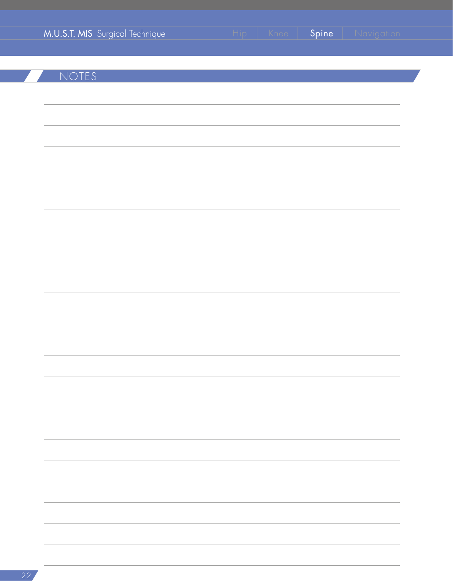| M.U.S.T. MIS Surgical Technique | Hip   Knee   Spine | Navigation |
|---------------------------------|--------------------|------------|
|                                 |                    |            |
| NOTES                           |                    |            |
|                                 |                    |            |
|                                 |                    |            |
|                                 |                    |            |
|                                 |                    |            |
|                                 |                    |            |
|                                 |                    |            |
|                                 |                    |            |
|                                 |                    |            |
|                                 |                    |            |
|                                 |                    |            |
|                                 |                    |            |
|                                 |                    |            |
|                                 |                    |            |
|                                 |                    |            |
|                                 |                    |            |
|                                 |                    |            |
|                                 |                    |            |
|                                 |                    |            |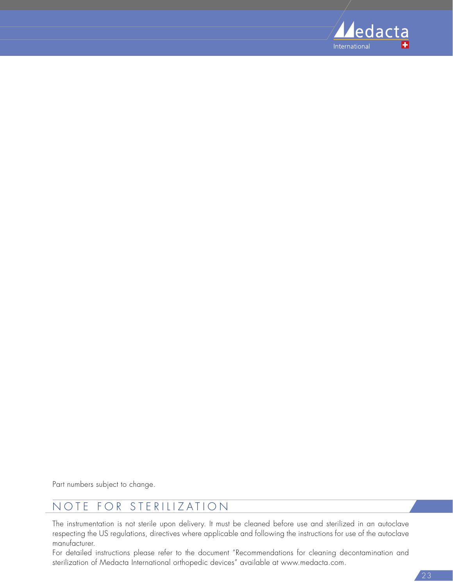

Part numbers subject to change.

# NOTE FOR STERILIZATION

The instrumentation is not sterile upon delivery. It must be cleaned before use and sterilized in an autoclave respecting the US regulations, directives where applicable and following the instructions for use of the autoclave manufacturer.

For detailed instructions please refer to the document "Recommendations for cleaning decontamination and sterilization of Medacta International orthopedic devices" available at www.medacta.com.